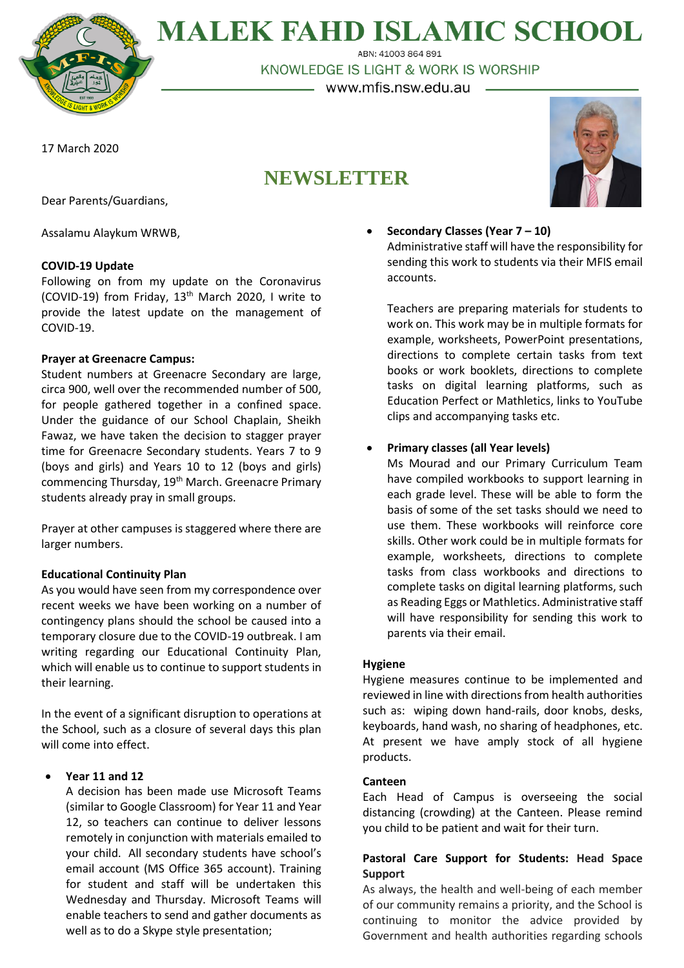**MALEK FAHD ISLAMIC SCHOOL** 

ABN: 41003 864 891 KNOWLEDGE IS LIGHT & WORK IS WORSHIP

– www.mfis.nsw.edu.au –

17 March 2020

# **NEWSLETTER**



Dear Parents/Guardians,

Assalamu Alaykum WRWB,

## **COVID-19 Update**

Following on from my update on the Coronavirus (COVID-19) from Friday, 13th March 2020, I write to provide the latest update on the management of COVID-19.

## **Prayer at Greenacre Campus:**

Student numbers at Greenacre Secondary are large, circa 900, well over the recommended number of 500, for people gathered together in a confined space. Under the guidance of our School Chaplain, Sheikh Fawaz, we have taken the decision to stagger prayer time for Greenacre Secondary students. Years 7 to 9 (boys and girls) and Years 10 to 12 (boys and girls) commencing Thursday, 19<sup>th</sup> March. Greenacre Primary students already pray in small groups.

Prayer at other campuses is staggered where there are larger numbers.

# **Educational Continuity Plan**

As you would have seen from my correspondence over recent weeks we have been working on a number of contingency plans should the school be caused into a temporary closure due to the COVID-19 outbreak. I am writing regarding our Educational Continuity Plan, which will enable us to continue to support students in their learning.

In the event of a significant disruption to operations at the School, such as a closure of several days this plan will come into effect.

## **Year 11 and 12**

A decision has been made use Microsoft Teams (similar to Google Classroom) for Year 11 and Year 12, so teachers can continue to deliver lessons remotely in conjunction with materials emailed to your child. All secondary students have school's email account (MS Office 365 account). Training for student and staff will be undertaken this Wednesday and Thursday. Microsoft Teams will enable teachers to send and gather documents as well as to do a Skype style presentation;

 **Secondary Classes (Year 7 – 10)** Administrative staff will have the responsibility for sending this work to students via their MFIS email accounts.

Teachers are preparing materials for students to work on. This work may be in multiple formats for example, worksheets, PowerPoint presentations, directions to complete certain tasks from text books or work booklets, directions to complete tasks on digital learning platforms, such as Education Perfect or Mathletics, links to YouTube clips and accompanying tasks etc.

## **Primary classes (all Year levels)**

Ms Mourad and our Primary Curriculum Team have compiled workbooks to support learning in each grade level. These will be able to form the basis of some of the set tasks should we need to use them. These workbooks will reinforce core skills. Other work could be in multiple formats for example, worksheets, directions to complete tasks from class workbooks and directions to complete tasks on digital learning platforms, such as Reading Eggs or Mathletics. Administrative staff will have responsibility for sending this work to parents via their email.

## **Hygiene**

Hygiene measures continue to be implemented and reviewed in line with directions from health authorities such as: wiping down hand-rails, door knobs, desks, keyboards, hand wash, no sharing of headphones, etc. At present we have amply stock of all hygiene products.

## **Canteen**

Each Head of Campus is overseeing the social distancing (crowding) at the Canteen. Please remind you child to be patient and wait for their turn.

# **Pastoral Care Support for Students: Head Space Support**

As always, the health and well-being of each member of our community remains a priority, and the School is continuing to monitor the advice provided by Government and health authorities regarding schools